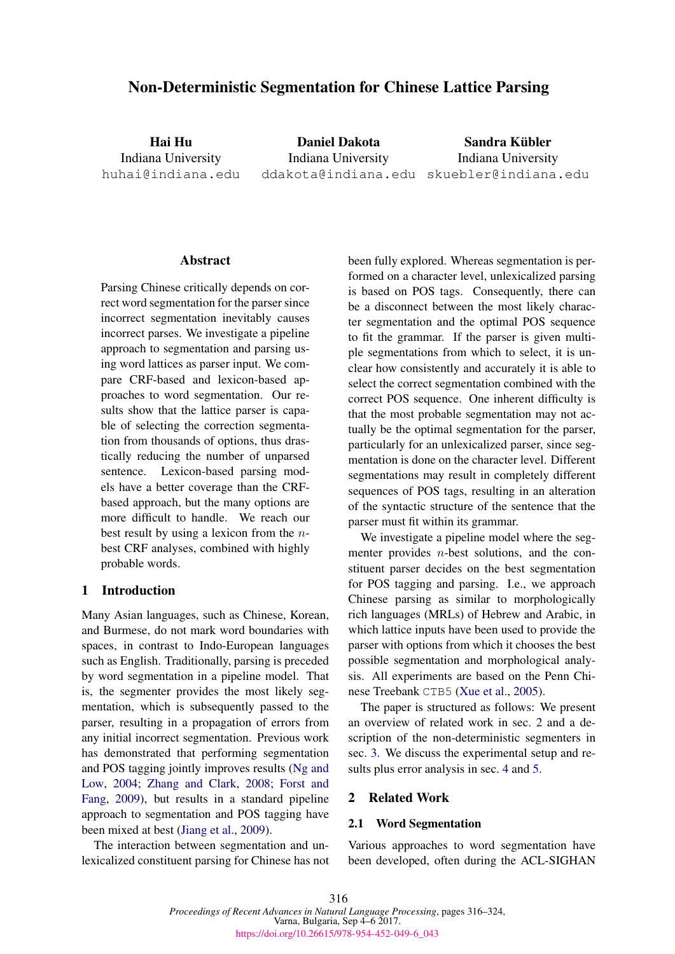# Non-Deterministic Segmentation for Chinese Lattice Parsing

Hai Hu Indiana University huhai@indiana.edu

Daniel Dakota Indiana University ddakota@indiana.edu skuebler@indiana.edu

Sandra Kübler Indiana University

## Abstract

Parsing Chinese critically depends on correct word segmentation for the parser since incorrect segmentation inevitably causes incorrect parses. We investigate a pipeline approach to segmentation and parsing using word lattices as parser input. We compare CRF-based and lexicon-based approaches to word segmentation. Our results show that the lattice parser is capable of selecting the correction segmentation from thousands of options, thus drastically reducing the number of unparsed sentence. Lexicon-based parsing models have a better coverage than the CRFbased approach, but the many options are more difficult to handle. We reach our best result by using a lexicon from the nbest CRF analyses, combined with highly probable words.

# 1 Introduction

Many Asian languages, such as Chinese, Korean, and Burmese, do not mark word boundaries with spaces, in contrast to Indo-European languages such as English. Traditionally, parsing is preceded by word segmentation in a pipeline model. That is, the segmenter provides the most likely segmentation, which is subsequently passed to the parser, resulting in a propagation of errors from any initial incorrect segmentation. Previous work has demonstrated that performing segmentation and POS tagging jointly improves results (Ng and Low, 2004; Zhang and Clark, 2008; Forst and Fang, 2009), but results in a standard pipeline approach to segmentation and POS tagging have been mixed at best (Jiang et al., 2009).

The interaction between segmentation and unlexicalized constituent parsing for Chinese has not been fully explored. Whereas segmentation is performed on a character level, unlexicalized parsing is based on POS tags. Consequently, there can be a disconnect between the most likely character segmentation and the optimal POS sequence to fit the grammar. If the parser is given multiple segmentations from which to select, it is unclear how consistently and accurately it is able to select the correct segmentation combined with the correct POS sequence. One inherent difficulty is that the most probable segmentation may not actually be the optimal segmentation for the parser, particularly for an unlexicalized parser, since segmentation is done on the character level. Different segmentations may result in completely different sequences of POS tags, resulting in an alteration of the syntactic structure of the sentence that the parser must fit within its grammar.

We investigate a pipeline model where the segmenter provides  $n$ -best solutions, and the constituent parser decides on the best segmentation for POS tagging and parsing. I.e., we approach Chinese parsing as similar to morphologically rich languages (MRLs) of Hebrew and Arabic, in which lattice inputs have been used to provide the parser with options from which it chooses the best possible segmentation and morphological analysis. All experiments are based on the Penn Chinese Treebank CTB5 (Xue et al., 2005).

The paper is structured as follows: We present an overview of related work in sec. 2 and a description of the non-deterministic segmenters in sec. 3. We discuss the experimental setup and results plus error analysis in sec. 4 and 5.

#### 2 Related Work

# 2.1 Word Segmentation

Various approaches to word segmentation have been developed, often during the ACL-SIGHAN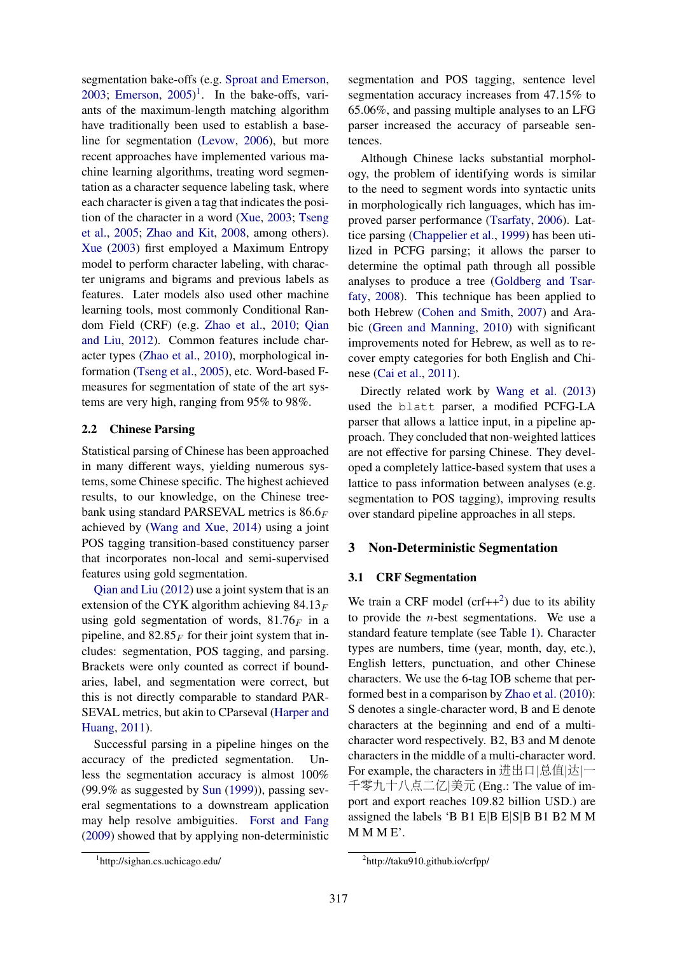segmentation bake-offs (e.g. Sproat and Emerson, 2003; Emerson,  $2005$ <sup>1</sup>. In the bake-offs, variants of the maximum-length matching algorithm have traditionally been used to establish a baseline for segmentation (Levow, 2006), but more recent approaches have implemented various machine learning algorithms, treating word segmentation as a character sequence labeling task, where each character is given a tag that indicates the position of the character in a word (Xue, 2003; Tseng et al., 2005; Zhao and Kit, 2008, among others). Xue (2003) first employed a Maximum Entropy model to perform character labeling, with character unigrams and bigrams and previous labels as features. Later models also used other machine learning tools, most commonly Conditional Random Field (CRF) (e.g. Zhao et al., 2010; Qian and Liu, 2012). Common features include character types (Zhao et al., 2010), morphological information (Tseng et al., 2005), etc. Word-based Fmeasures for segmentation of state of the art systems are very high, ranging from 95% to 98%.

## 2.2 Chinese Parsing

Statistical parsing of Chinese has been approached in many different ways, yielding numerous systems, some Chinese specific. The highest achieved results, to our knowledge, on the Chinese treebank using standard PARSEVAL metrics is  $86.6<sub>F</sub>$ achieved by (Wang and Xue, 2014) using a joint POS tagging transition-based constituency parser that incorporates non-local and semi-supervised features using gold segmentation.

Qian and Liu (2012) use a joint system that is an extension of the CYK algorithm achieving  $84.13<sub>F</sub>$ using gold segmentation of words,  $81.76<sub>F</sub>$  in a pipeline, and  $82.85<sub>F</sub>$  for their joint system that includes: segmentation, POS tagging, and parsing. Brackets were only counted as correct if boundaries, label, and segmentation were correct, but this is not directly comparable to standard PAR-SEVAL metrics, but akin to CParseval (Harper and Huang, 2011).

Successful parsing in a pipeline hinges on the accuracy of the predicted segmentation. Unless the segmentation accuracy is almost 100% (99.9% as suggested by Sun (1999)), passing several segmentations to a downstream application may help resolve ambiguities. Forst and Fang (2009) showed that by applying non-deterministic

segmentation and POS tagging, sentence level segmentation accuracy increases from 47.15% to 65.06%, and passing multiple analyses to an LFG parser increased the accuracy of parseable sentences.

Although Chinese lacks substantial morphology, the problem of identifying words is similar to the need to segment words into syntactic units in morphologically rich languages, which has improved parser performance (Tsarfaty, 2006). Lattice parsing (Chappelier et al., 1999) has been utilized in PCFG parsing; it allows the parser to determine the optimal path through all possible analyses to produce a tree (Goldberg and Tsarfaty, 2008). This technique has been applied to both Hebrew (Cohen and Smith, 2007) and Arabic (Green and Manning, 2010) with significant improvements noted for Hebrew, as well as to recover empty categories for both English and Chinese (Cai et al., 2011).

Directly related work by Wang et al. (2013) used the blatt parser, a modified PCFG-LA parser that allows a lattice input, in a pipeline approach. They concluded that non-weighted lattices are not effective for parsing Chinese. They developed a completely lattice-based system that uses a lattice to pass information between analyses (e.g. segmentation to POS tagging), improving results over standard pipeline approaches in all steps.

## 3 Non-Deterministic Segmentation

## 3.1 CRF Segmentation

We train a CRF model  $(crf++^2)$  due to its ability to provide the  $n$ -best segmentations. We use a standard feature template (see Table 1). Character types are numbers, time (year, month, day, etc.), English letters, punctuation, and other Chinese characters. We use the 6-tag IOB scheme that performed best in a comparison by Zhao et al. (2010): S denotes a single-character word, B and E denote characters at the beginning and end of a multicharacter word respectively. B2, B3 and M denote characters in the middle of a multi-character word. For example, the characters in <sup>进</sup>出口|总值|达|<sup>一</sup> <sup>千</sup>零九十八点二亿|美<sup>元</sup> (Eng.: The value of import and export reaches 109.82 billion USD.) are assigned the labels 'B B1 E|B E|S|B B1 B2 M M M M M E'.

<sup>1</sup> http://sighan.cs.uchicago.edu/

<sup>2</sup> http://taku910.github.io/crfpp/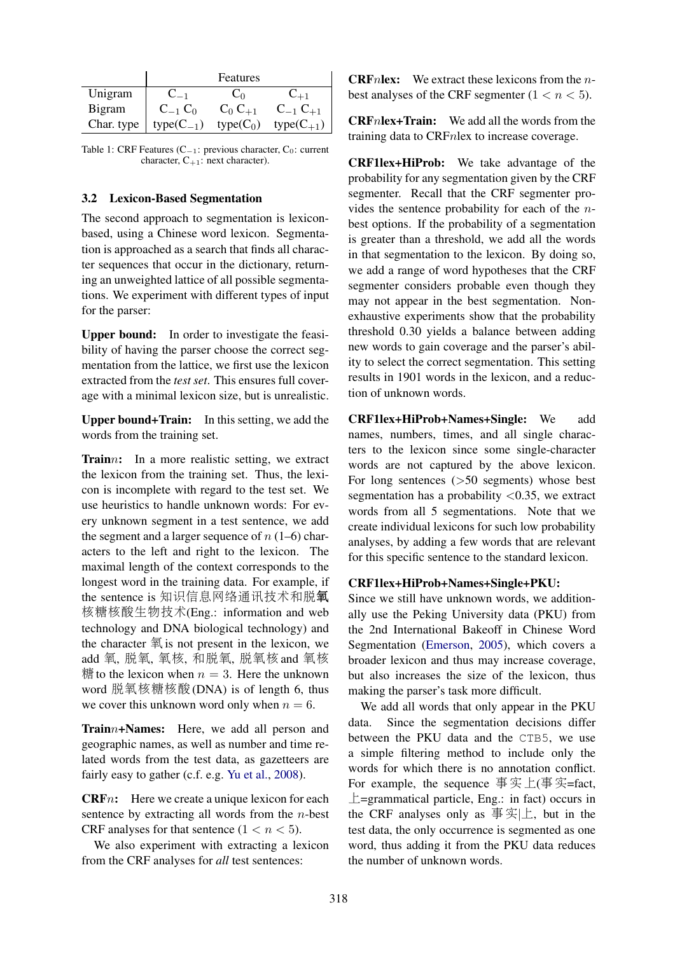|            |                | Features                     |                 |
|------------|----------------|------------------------------|-----------------|
| Unigram    |                | $\mathbf{v}$ on $\mathbf{v}$ |                 |
| Bigram     | $C_{-1} C_0$   | $C_0 C_{+1}$                 | $C_{-1} C_{+1}$ |
| Char. type | $type(C_{-1})$ | type $(C_0)$                 | $type(C_{+1})$  |

Table 1: CRF Features ( $C_{-1}$ : previous character,  $C_0$ : current character,  $C_{+1}$ : next character).

## 3.2 Lexicon-Based Segmentation

The second approach to segmentation is lexiconbased, using a Chinese word lexicon. Segmentation is approached as a search that finds all character sequences that occur in the dictionary, returning an unweighted lattice of all possible segmentations. We experiment with different types of input for the parser:

Upper bound: In order to investigate the feasibility of having the parser choose the correct segmentation from the lattice, we first use the lexicon extracted from the *test set*. This ensures full coverage with a minimal lexicon size, but is unrealistic.

Upper bound+Train: In this setting, we add the words from the training set.

Trainn: In a more realistic setting, we extract the lexicon from the training set. Thus, the lexicon is incomplete with regard to the test set. We use heuristics to handle unknown words: For every unknown segment in a test sentence, we add the segment and a larger sequence of  $n(1-6)$  characters to the left and right to the lexicon. The maximal length of the context corresponds to the longest word in the training data. For example, if the sentence is <sup>知</sup>识信息网络通讯技术和脱<sup>氧</sup> <sup>核</sup>糖核酸生物技术(Eng.: information and web technology and DNA biological technology) and the character  $\overline{\mathcal{F}}$  is not present in the lexicon, we add <sup>氧</sup>, 脱氧, <sup>氧</sup>核, <sup>和</sup>脱氧, 脱氧<sup>核</sup> and <sup>氧</sup><sup>核</sup> 精 to the lexicon when  $n = 3$ . Here the unknown word 脱氧核糖核酸(DNA) is of length 6, thus we cover this unknown word only when  $n = 6$ .

Trainn+Names: Here, we add all person and geographic names, as well as number and time related words from the test data, as gazetteers are fairly easy to gather (c.f. e.g. Yu et al., 2008).

**CRF**n: Here we create a unique lexicon for each sentence by extracting all words from the  $n$ -best CRF analyses for that sentence  $(1 < n < 5)$ .

We also experiment with extracting a lexicon from the CRF analyses for *all* test sentences:

**CRF**nlex: We extract these lexicons from the  $n$ best analyses of the CRF segmenter  $(1 < n < 5)$ .

CRFnlex+Train: We add all the words from the training data to CRFnlex to increase coverage.

CRF1lex+HiProb: We take advantage of the probability for any segmentation given by the CRF segmenter. Recall that the CRF segmenter provides the sentence probability for each of the nbest options. If the probability of a segmentation is greater than a threshold, we add all the words in that segmentation to the lexicon. By doing so, we add a range of word hypotheses that the CRF segmenter considers probable even though they may not appear in the best segmentation. Nonexhaustive experiments show that the probability threshold 0.30 yields a balance between adding new words to gain coverage and the parser's ability to select the correct segmentation. This setting results in 1901 words in the lexicon, and a reduction of unknown words.

CRF1lex+HiProb+Names+Single: We add names, numbers, times, and all single characters to the lexicon since some single-character words are not captured by the above lexicon. For long sentences (>50 segments) whose best segmentation has a probability  $\langle 0.35,$  we extract words from all 5 segmentations. Note that we create individual lexicons for such low probability analyses, by adding a few words that are relevant for this specific sentence to the standard lexicon.

## CRF1lex+HiProb+Names+Single+PKU:

Since we still have unknown words, we additionally use the Peking University data (PKU) from the 2nd International Bakeoff in Chinese Word Segmentation (Emerson, 2005), which covers a broader lexicon and thus may increase coverage, but also increases the size of the lexicon, thus making the parser's task more difficult.

We add all words that only appear in the PKU data. Since the segmentation decisions differ between the PKU data and the CTB5, we use a simple filtering method to include only the words for which there is no annotation conflict. For example, the sequence  $\overline{\mathcal{F}} \mathcal{F}_1(\overline{\mathcal{F}} \mathcal{F}_2) = \text{fact},$ 上=grammatical particle, Eng.: in fact) occurs in the CRF analyses only as  $\frac{1}{2}$   $\frac{1}{2}$ , but in the test data, the only occurrence is segmented as one word, thus adding it from the PKU data reduces the number of unknown words.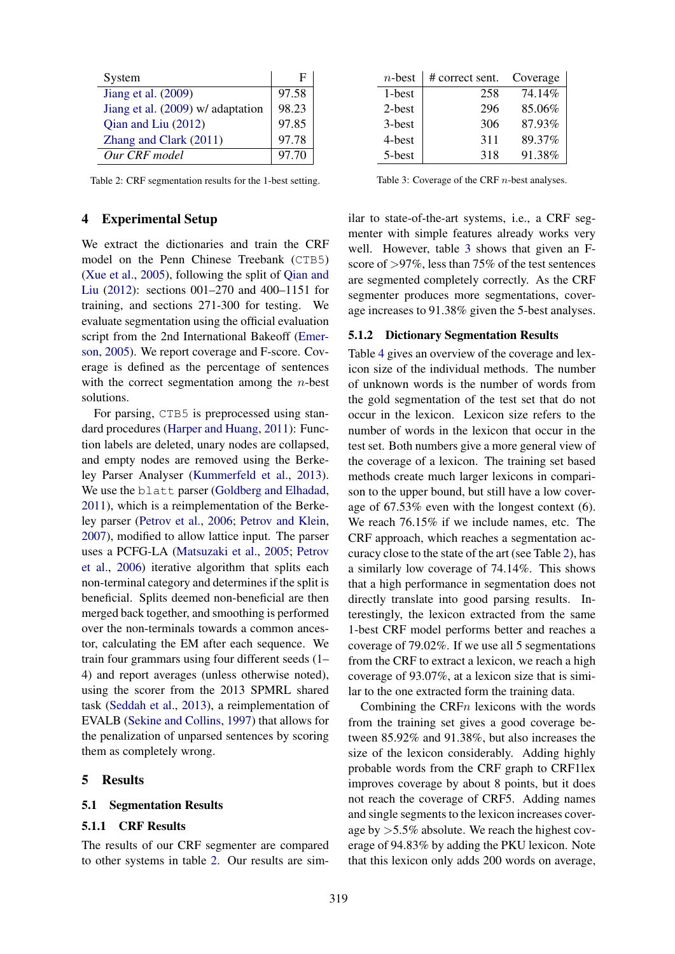| System                            | н     |
|-----------------------------------|-------|
| Jiang et al. (2009)               | 97.58 |
| Jiang et al. (2009) w/ adaptation | 98.23 |
| Qian and Liu (2012)               | 97.85 |
| Zhang and Clark (2011)            | 97.78 |
| Our CRF model                     | 97.70 |

Table 2: CRF segmentation results for the 1-best setting.

## 4 Experimental Setup

We extract the dictionaries and train the CRF model on the Penn Chinese Treebank (CTB5) (Xue et al., 2005), following the split of Qian and Liu (2012): sections 001–270 and 400–1151 for training, and sections 271-300 for testing. We evaluate segmentation using the official evaluation script from the 2nd International Bakeoff (Emerson, 2005). We report coverage and F-score. Coverage is defined as the percentage of sentences with the correct segmentation among the  $n$ -best solutions.

For parsing, CTB5 is preprocessed using standard procedures (Harper and Huang, 2011): Function labels are deleted, unary nodes are collapsed, and empty nodes are removed using the Berkeley Parser Analyser (Kummerfeld et al., 2013). We use the blatt parser (Goldberg and Elhadad, 2011), which is a reimplementation of the Berkeley parser (Petrov et al., 2006; Petrov and Klein, 2007), modified to allow lattice input. The parser uses a PCFG-LA (Matsuzaki et al., 2005; Petrov et al., 2006) iterative algorithm that splits each non-terminal category and determines if the split is beneficial. Splits deemed non-beneficial are then merged back together, and smoothing is performed over the non-terminals towards a common ancestor, calculating the EM after each sequence. We train four grammars using four different seeds (1– 4) and report averages (unless otherwise noted), using the scorer from the 2013 SPMRL shared task (Seddah et al., 2013), a reimplementation of EVALB (Sekine and Collins, 1997) that allows for the penalization of unparsed sentences by scoring them as completely wrong.

## 5 Results

## 5.1 Segmentation Results

## 5.1.1 CRF Results

The results of our CRF segmenter are compared to other systems in table 2. Our results are sim-

| $n$ -best | # correct sent. | Coverage |
|-----------|-----------------|----------|
| 1-best    | 258             | 74.14%   |
| 2-best    | 296             | 85.06%   |
| 3-best    | 306             | 87.93%   |
| 4-best    | 311             | 89.37%   |
| 5-best    | 318             | 91.38%   |

Table 3: Coverage of the CRF n-best analyses.

ilar to state-of-the-art systems, i.e., a CRF segmenter with simple features already works very well. However, table 3 shows that given an Fscore of >97%, less than 75% of the test sentences are segmented completely correctly. As the CRF segmenter produces more segmentations, coverage increases to 91.38% given the 5-best analyses.

#### 5.1.2 Dictionary Segmentation Results

Table 4 gives an overview of the coverage and lexicon size of the individual methods. The number of unknown words is the number of words from the gold segmentation of the test set that do not occur in the lexicon. Lexicon size refers to the number of words in the lexicon that occur in the test set. Both numbers give a more general view of the coverage of a lexicon. The training set based methods create much larger lexicons in comparison to the upper bound, but still have a low coverage of 67.53% even with the longest context (6). We reach 76.15% if we include names, etc. The CRF approach, which reaches a segmentation accuracy close to the state of the art (see Table 2), has a similarly low coverage of 74.14%. This shows that a high performance in segmentation does not directly translate into good parsing results. Interestingly, the lexicon extracted from the same 1-best CRF model performs better and reaches a coverage of 79.02%. If we use all 5 segmentations from the CRF to extract a lexicon, we reach a high coverage of 93.07%, at a lexicon size that is similar to the one extracted form the training data.

Combining the CRF $n$  lexicons with the words from the training set gives a good coverage between 85.92% and 91.38%, but also increases the size of the lexicon considerably. Adding highly probable words from the CRF graph to CRF1lex improves coverage by about 8 points, but it does not reach the coverage of CRF5. Adding names and single segments to the lexicon increases coverage by >5.5% absolute. We reach the highest coverage of 94.83% by adding the PKU lexicon. Note that this lexicon only adds 200 words on average,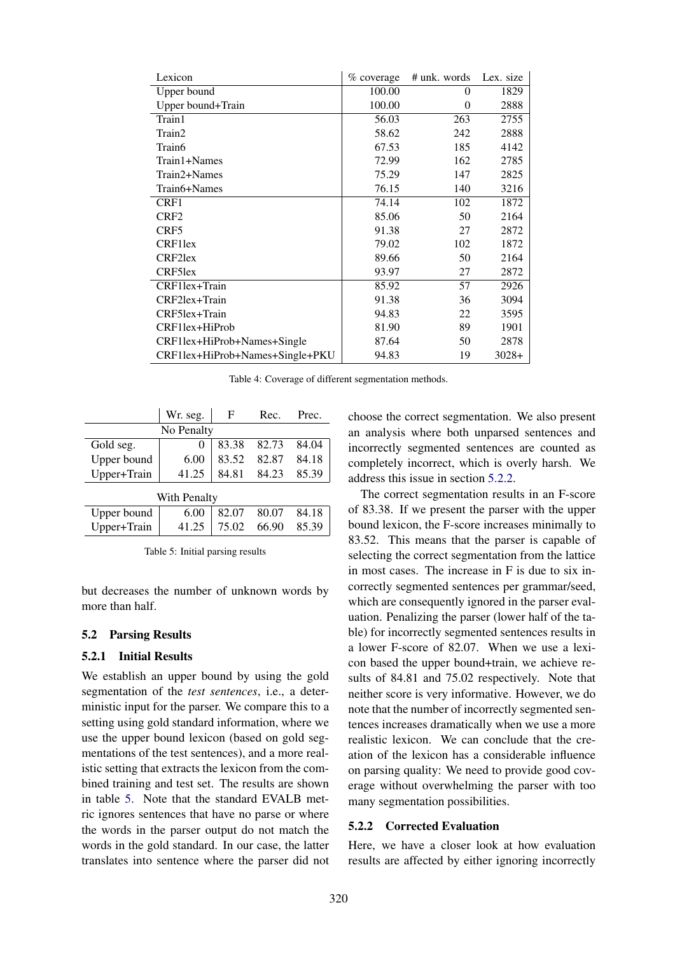| Lexicon                         | $\%$ coverage | # unk. words Lex. size |         |
|---------------------------------|---------------|------------------------|---------|
| Upper bound                     | 100.00        | $\Omega$               | 1829    |
| Upper bound+Train               | 100.00        | $\theta$               | 2888    |
| Train1                          | 56.03         | 263                    | 2755    |
| Train2                          | 58.62         | 242                    | 2888    |
| Train6                          | 67.53         | 185                    | 4142    |
| Train1+Names                    | 72.99         | 162                    | 2785    |
| Train2+Names                    | 75.29         | 147                    | 2825    |
| Train6+Names                    | 76.15         | 140                    | 3216    |
| CRF1                            | 74.14         | 102                    | 1872    |
| CRF <sub>2</sub>                | 85.06         | 50                     | 2164    |
| CRF5                            | 91.38         | 27                     | 2872    |
| <b>CRF1lex</b>                  | 79.02         | 102                    | 1872    |
| CRF2lex                         | 89.66         | 50                     | 2164    |
| CRF5lex                         | 93.97         | 27                     | 2872    |
| CRF1lex+Train                   | 85.92         | 57                     | 2926    |
| CRF2lex+Train                   | 91.38         | 36                     | 3094    |
| CRF5lex+Train                   | 94.83         | 22                     | 3595    |
| CRF1lex+HiProb                  | 81.90         | 89                     | 1901    |
| CRF1lex+HiProb+Names+Single     | 87.64         | 50                     | 2878    |
| CRF1lex+HiProb+Names+Single+PKU | 94.83         | 19                     | $3028+$ |

Table 4: Coverage of different segmentation methods.

|                     | Wr. seg.<br>F |       | Rec.  | Prec. |  |  |
|---------------------|---------------|-------|-------|-------|--|--|
| No Penalty          |               |       |       |       |  |  |
| Gold seg.           | 0             | 83.38 | 82.73 | 84.04 |  |  |
| Upper bound         | 6.00          | 83.52 | 82.87 | 84.18 |  |  |
| Upper+Train         | 41.25         | 84.81 | 84.23 | 85.39 |  |  |
| <b>With Penalty</b> |               |       |       |       |  |  |
| Upper bound         | 6.00          | 82.07 | 80.07 | 84.18 |  |  |
| Upper+Train         | 41.25         | 75.02 | 66.90 | 85.39 |  |  |

Table 5: Initial parsing results

but decreases the number of unknown words by more than half.

#### 5.2 Parsing Results

#### 5.2.1 Initial Results

We establish an upper bound by using the gold segmentation of the *test sentences*, i.e., a deterministic input for the parser. We compare this to a setting using gold standard information, where we use the upper bound lexicon (based on gold segmentations of the test sentences), and a more realistic setting that extracts the lexicon from the combined training and test set. The results are shown in table 5. Note that the standard EVALB metric ignores sentences that have no parse or where the words in the parser output do not match the words in the gold standard. In our case, the latter translates into sentence where the parser did not choose the correct segmentation. We also present an analysis where both unparsed sentences and incorrectly segmented sentences are counted as completely incorrect, which is overly harsh. We address this issue in section 5.2.2.

The correct segmentation results in an F-score of 83.38. If we present the parser with the upper bound lexicon, the F-score increases minimally to 83.52. This means that the parser is capable of selecting the correct segmentation from the lattice in most cases. The increase in F is due to six incorrectly segmented sentences per grammar/seed, which are consequently ignored in the parser evaluation. Penalizing the parser (lower half of the table) for incorrectly segmented sentences results in a lower F-score of 82.07. When we use a lexicon based the upper bound+train, we achieve results of 84.81 and 75.02 respectively. Note that neither score is very informative. However, we do note that the number of incorrectly segmented sentences increases dramatically when we use a more realistic lexicon. We can conclude that the creation of the lexicon has a considerable influence on parsing quality: We need to provide good coverage without overwhelming the parser with too many segmentation possibilities.

#### 5.2.2 Corrected Evaluation

Here, we have a closer look at how evaluation results are affected by either ignoring incorrectly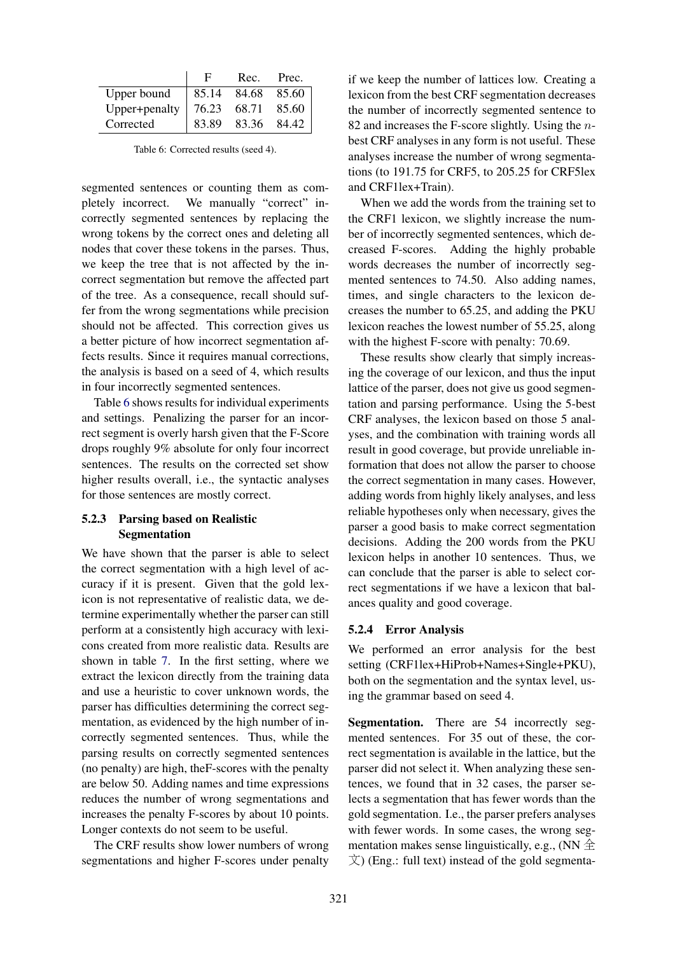|               | F     | Rec. | Prec.               |
|---------------|-------|------|---------------------|
| Upper bound   |       |      | $85.14$ 84.68 85.60 |
| Upper+penalty | 76.23 |      | 68.71 85.60         |
| Corrected     | 83.89 |      | 83.36 84.42         |

Table 6: Corrected results (seed 4).

segmented sentences or counting them as completely incorrect. We manually "correct" incorrectly segmented sentences by replacing the wrong tokens by the correct ones and deleting all nodes that cover these tokens in the parses. Thus, we keep the tree that is not affected by the incorrect segmentation but remove the affected part of the tree. As a consequence, recall should suffer from the wrong segmentations while precision should not be affected. This correction gives us a better picture of how incorrect segmentation affects results. Since it requires manual corrections, the analysis is based on a seed of 4, which results in four incorrectly segmented sentences.

Table 6 shows results for individual experiments and settings. Penalizing the parser for an incorrect segment is overly harsh given that the F-Score drops roughly 9% absolute for only four incorrect sentences. The results on the corrected set show higher results overall, i.e., the syntactic analyses for those sentences are mostly correct.

# 5.2.3 Parsing based on Realistic Segmentation

We have shown that the parser is able to select the correct segmentation with a high level of accuracy if it is present. Given that the gold lexicon is not representative of realistic data, we determine experimentally whether the parser can still perform at a consistently high accuracy with lexicons created from more realistic data. Results are shown in table 7. In the first setting, where we extract the lexicon directly from the training data and use a heuristic to cover unknown words, the parser has difficulties determining the correct segmentation, as evidenced by the high number of incorrectly segmented sentences. Thus, while the parsing results on correctly segmented sentences (no penalty) are high, theF-scores with the penalty are below 50. Adding names and time expressions reduces the number of wrong segmentations and increases the penalty F-scores by about 10 points. Longer contexts do not seem to be useful.

The CRF results show lower numbers of wrong segmentations and higher F-scores under penalty

if we keep the number of lattices low. Creating a lexicon from the best CRF segmentation decreases the number of incorrectly segmented sentence to 82 and increases the F-score slightly. Using the  $n$ best CRF analyses in any form is not useful. These analyses increase the number of wrong segmentations (to 191.75 for CRF5, to 205.25 for CRF5lex and CRF1lex+Train).

When we add the words from the training set to the CRF1 lexicon, we slightly increase the number of incorrectly segmented sentences, which decreased F-scores. Adding the highly probable words decreases the number of incorrectly segmented sentences to 74.50. Also adding names, times, and single characters to the lexicon decreases the number to 65.25, and adding the PKU lexicon reaches the lowest number of 55.25, along with the highest F-score with penalty: 70.69.

These results show clearly that simply increasing the coverage of our lexicon, and thus the input lattice of the parser, does not give us good segmentation and parsing performance. Using the 5-best CRF analyses, the lexicon based on those 5 analyses, and the combination with training words all result in good coverage, but provide unreliable information that does not allow the parser to choose the correct segmentation in many cases. However, adding words from highly likely analyses, and less reliable hypotheses only when necessary, gives the parser a good basis to make correct segmentation decisions. Adding the 200 words from the PKU lexicon helps in another 10 sentences. Thus, we can conclude that the parser is able to select correct segmentations if we have a lexicon that balances quality and good coverage.

## 5.2.4 Error Analysis

We performed an error analysis for the best setting (CRF1lex+HiProb+Names+Single+PKU), both on the segmentation and the syntax level, using the grammar based on seed 4.

Segmentation. There are 54 incorrectly segmented sentences. For 35 out of these, the correct segmentation is available in the lattice, but the parser did not select it. When analyzing these sentences, we found that in 32 cases, the parser selects a segmentation that has fewer words than the gold segmentation. I.e., the parser prefers analyses with fewer words. In some cases, the wrong segmentation makes sense linguistically, e.g.,  $(NN \triangleq$  $\overline{X}$ ) (Eng.: full text) instead of the gold segmenta-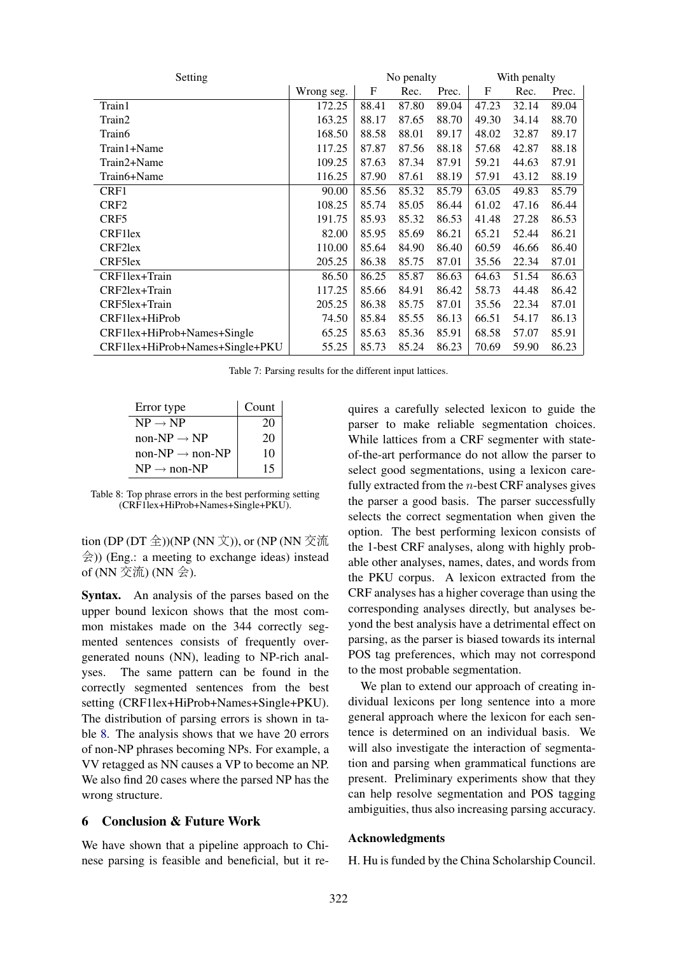| Setting                         |            | No penalty |       |       | With penalty |       |       |
|---------------------------------|------------|------------|-------|-------|--------------|-------|-------|
|                                 | Wrong seg. | F          | Rec.  | Prec. | F            | Rec.  | Prec. |
| Train1                          | 172.25     | 88.41      | 87.80 | 89.04 | 47.23        | 32.14 | 89.04 |
| Train2                          | 163.25     | 88.17      | 87.65 | 88.70 | 49.30        | 34.14 | 88.70 |
| Train6                          | 168.50     | 88.58      | 88.01 | 89.17 | 48.02        | 32.87 | 89.17 |
| Train1+Name                     | 117.25     | 87.87      | 87.56 | 88.18 | 57.68        | 42.87 | 88.18 |
| Train2+Name                     | 109.25     | 87.63      | 87.34 | 87.91 | 59.21        | 44.63 | 87.91 |
| Train6+Name                     | 116.25     | 87.90      | 87.61 | 88.19 | 57.91        | 43.12 | 88.19 |
| CRF1                            | 90.00      | 85.56      | 85.32 | 85.79 | 63.05        | 49.83 | 85.79 |
| CRF <sub>2</sub>                | 108.25     | 85.74      | 85.05 | 86.44 | 61.02        | 47.16 | 86.44 |
| CRF <sub>5</sub>                | 191.75     | 85.93      | 85.32 | 86.53 | 41.48        | 27.28 | 86.53 |
| CRF1lex                         | 82.00      | 85.95      | 85.69 | 86.21 | 65.21        | 52.44 | 86.21 |
| CRF2lex                         | 110.00     | 85.64      | 84.90 | 86.40 | 60.59        | 46.66 | 86.40 |
| CRF5lex                         | 205.25     | 86.38      | 85.75 | 87.01 | 35.56        | 22.34 | 87.01 |
| CRF1lex+Train                   | 86.50      | 86.25      | 85.87 | 86.63 | 64.63        | 51.54 | 86.63 |
| CRF2lex+Train                   | 117.25     | 85.66      | 84.91 | 86.42 | 58.73        | 44.48 | 86.42 |
| CRF5lex+Train                   | 205.25     | 86.38      | 85.75 | 87.01 | 35.56        | 22.34 | 87.01 |
| CRF1lex+HiProb                  | 74.50      | 85.84      | 85.55 | 86.13 | 66.51        | 54.17 | 86.13 |
| CRF1lex+HiProb+Names+Single     | 65.25      | 85.63      | 85.36 | 85.91 | 68.58        | 57.07 | 85.91 |
| CRF1lex+HiProb+Names+Single+PKU | 55.25      | 85.73      | 85.24 | 86.23 | 70.69        | 59.90 | 86.23 |

Table 7: Parsing results for the different input lattices.

| Error type                  | Count |  |
|-----------------------------|-------|--|
| $NP \rightarrow NP$         | 20    |  |
| non-NP $\rightarrow$ NP     | 20    |  |
| $non-NP \rightarrow non-NP$ | 10    |  |
| $NP \rightarrow non-NP$     | 15    |  |

Table 8: Top phrase errors in the best performing setting (CRF1lex+HiProb+Names+Single+PKU).

tion (DP (DT 全))(NP (NN 文)), or (NP (NN 交流 会)) (Eng.: a meeting to exchange ideas) instead of (NN 交流) (NN 会).

Syntax. An analysis of the parses based on the upper bound lexicon shows that the most common mistakes made on the 344 correctly segmented sentences consists of frequently overgenerated nouns (NN), leading to NP-rich analyses. The same pattern can be found in the correctly segmented sentences from the best setting (CRF1lex+HiProb+Names+Single+PKU). The distribution of parsing errors is shown in table 8. The analysis shows that we have 20 errors of non-NP phrases becoming NPs. For example, a VV retagged as NN causes a VP to become an NP. We also find 20 cases where the parsed NP has the wrong structure.

# 6 Conclusion & Future Work

We have shown that a pipeline approach to Chinese parsing is feasible and beneficial, but it requires a carefully selected lexicon to guide the parser to make reliable segmentation choices. While lattices from a CRF segmenter with stateof-the-art performance do not allow the parser to select good segmentations, using a lexicon carefully extracted from the  $n$ -best CRF analyses gives the parser a good basis. The parser successfully selects the correct segmentation when given the option. The best performing lexicon consists of the 1-best CRF analyses, along with highly probable other analyses, names, dates, and words from the PKU corpus. A lexicon extracted from the CRF analyses has a higher coverage than using the corresponding analyses directly, but analyses beyond the best analysis have a detrimental effect on parsing, as the parser is biased towards its internal POS tag preferences, which may not correspond to the most probable segmentation.

We plan to extend our approach of creating individual lexicons per long sentence into a more general approach where the lexicon for each sentence is determined on an individual basis. We will also investigate the interaction of segmentation and parsing when grammatical functions are present. Preliminary experiments show that they can help resolve segmentation and POS tagging ambiguities, thus also increasing parsing accuracy.

#### Acknowledgments

H. Hu is funded by the China Scholarship Council.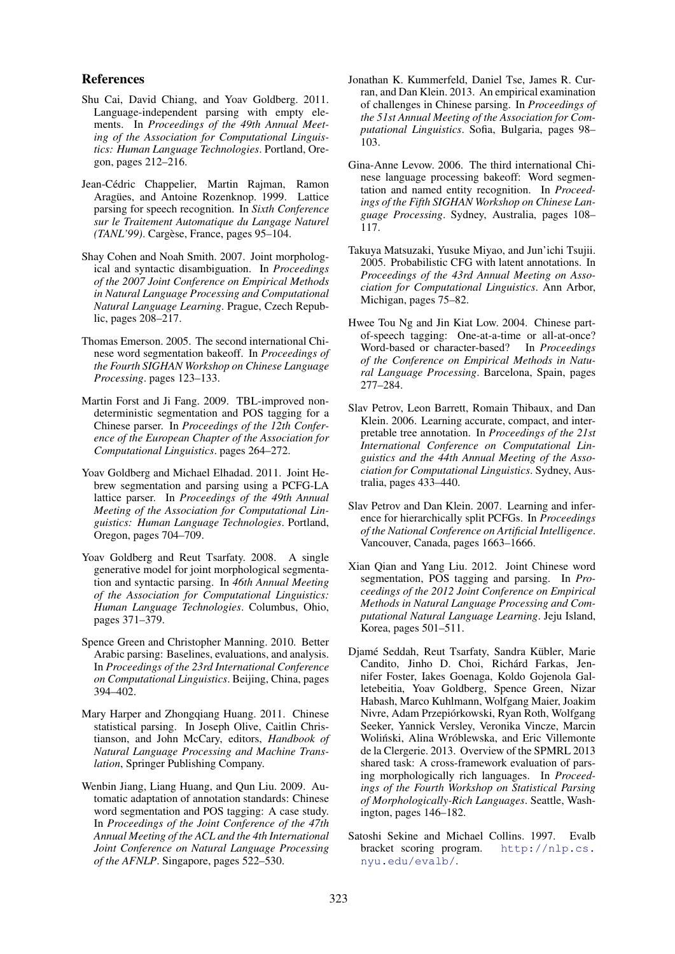#### References

- Shu Cai, David Chiang, and Yoav Goldberg. 2011. Language-independent parsing with empty elements. In *Proceedings of the 49th Annual Meeting of the Association for Computational Linguistics: Human Language Technologies*. Portland, Oregon, pages 212–216.
- Jean-Cédric Chappelier, Martin Rajman, Ramon Aragües, and Antoine Rozenknop. 1999. Lattice parsing for speech recognition. In *Sixth Conference sur le Traitement Automatique du Langage Naturel (TANL'99)*. Cargèse, France, pages 95–104.
- Shay Cohen and Noah Smith. 2007. Joint morphological and syntactic disambiguation. In *Proceedings of the 2007 Joint Conference on Empirical Methods in Natural Language Processing and Computational Natural Language Learning*. Prague, Czech Republic, pages 208–217.
- Thomas Emerson. 2005. The second international Chinese word segmentation bakeoff. In *Proceedings of the Fourth SIGHAN Workshop on Chinese Language Processing*. pages 123–133.
- Martin Forst and Ji Fang. 2009. TBL-improved nondeterministic segmentation and POS tagging for a Chinese parser. In *Proceedings of the 12th Conference of the European Chapter of the Association for Computational Linguistics*. pages 264–272.
- Yoav Goldberg and Michael Elhadad. 2011. Joint Hebrew segmentation and parsing using a PCFG-LA lattice parser. In *Proceedings of the 49th Annual Meeting of the Association for Computational Linguistics: Human Language Technologies*. Portland, Oregon, pages 704–709.
- Yoav Goldberg and Reut Tsarfaty. 2008. A single generative model for joint morphological segmentation and syntactic parsing. In *46th Annual Meeting of the Association for Computational Linguistics: Human Language Technologies*. Columbus, Ohio, pages 371–379.
- Spence Green and Christopher Manning. 2010. Better Arabic parsing: Baselines, evaluations, and analysis. In *Proceedings of the 23rd International Conference on Computational Linguistics*. Beijing, China, pages 394–402.
- Mary Harper and Zhongqiang Huang. 2011. Chinese statistical parsing. In Joseph Olive, Caitlin Christianson, and John McCary, editors, *Handbook of Natural Language Processing and Machine Translation*, Springer Publishing Company.
- Wenbin Jiang, Liang Huang, and Qun Liu. 2009. Automatic adaptation of annotation standards: Chinese word segmentation and POS tagging: A case study. In *Proceedings of the Joint Conference of the 47th Annual Meeting of the ACL and the 4th International Joint Conference on Natural Language Processing of the AFNLP*. Singapore, pages 522–530.
- Jonathan K. Kummerfeld, Daniel Tse, James R. Curran, and Dan Klein. 2013. An empirical examination of challenges in Chinese parsing. In *Proceedings of the 51st Annual Meeting of the Association for Computational Linguistics*. Sofia, Bulgaria, pages 98– 103.
- Gina-Anne Levow. 2006. The third international Chinese language processing bakeoff: Word segmentation and named entity recognition. In *Proceedings of the Fifth SIGHAN Workshop on Chinese Language Processing*. Sydney, Australia, pages 108– 117.
- Takuya Matsuzaki, Yusuke Miyao, and Jun'ichi Tsujii. 2005. Probabilistic CFG with latent annotations. In *Proceedings of the 43rd Annual Meeting on Association for Computational Linguistics*. Ann Arbor, Michigan, pages 75–82.
- Hwee Tou Ng and Jin Kiat Low. 2004. Chinese partof-speech tagging: One-at-a-time or all-at-once? Word-based or character-based? In *Proceedings of the Conference on Empirical Methods in Natural Language Processing*. Barcelona, Spain, pages 277–284.
- Slav Petrov, Leon Barrett, Romain Thibaux, and Dan Klein. 2006. Learning accurate, compact, and interpretable tree annotation. In *Proceedings of the 21st International Conference on Computational Linguistics and the 44th Annual Meeting of the Association for Computational Linguistics*. Sydney, Australia, pages 433–440.
- Slav Petrov and Dan Klein. 2007. Learning and inference for hierarchically split PCFGs. In *Proceedings of the National Conference on Artificial Intelligence*. Vancouver, Canada, pages 1663–1666.
- Xian Qian and Yang Liu. 2012. Joint Chinese word segmentation, POS tagging and parsing. In *Proceedings of the 2012 Joint Conference on Empirical Methods in Natural Language Processing and Computational Natural Language Learning*. Jeju Island, Korea, pages 501–511.
- Djamé Seddah, Reut Tsarfaty, Sandra Kübler, Marie Candito, Jinho D. Choi, Richárd Farkas, Jennifer Foster, Iakes Goenaga, Koldo Gojenola Galletebeitia, Yoav Goldberg, Spence Green, Nizar Habash, Marco Kuhlmann, Wolfgang Maier, Joakim Nivre, Adam Przepiorkowski, Ryan Roth, Wolfgang ´ Seeker, Yannick Versley, Veronika Vincze, Marcin Woliński, Alina Wróblewska, and Eric Villemonte de la Clergerie. 2013. Overview of the SPMRL 2013 shared task: A cross-framework evaluation of parsing morphologically rich languages. In *Proceedings of the Fourth Workshop on Statistical Parsing of Morphologically-Rich Languages*. Seattle, Washington, pages 146–182.
- Satoshi Sekine and Michael Collins. 1997. Evalb bracket scoring program. http://nlp.cs. nyu.edu/evalb/.